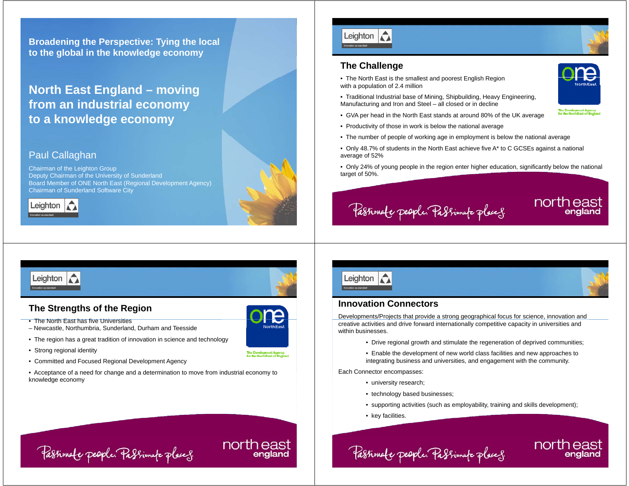**Broadening the Perspective: Tying the local to the global in the knowledge economy**

# **North East England – moving from an industrial economy to a knowledge economy**

### Paul Callaghan

Chairman of the Leighton Group Deputy Chairman of the University of Sunderland Board Member of ONE North East (Regional Development Agency) Chairman of Sunderland Software City





# **The Challenge**



• Traditional Industrial base of Mining, Shipbuilding, Heavy Engineering, Manufacturing and Iron and Steel – all closed or in decline



The Development Agency<br>for the NorthEast of England

- GVA per head in the North East stands at around 80% of the UK average
- Productivity of those in work is below the national average
- The number of people of working age in employment is below the national average
- Only 48.7% of students in the North East achieve five A\* to C GCSEs against a national average of 52%
- Only 24% of young people in the region enter higher education, significantly below the national target of 50%.

Passionale people. Passionate places.

north east england



# **The Strengths of the Region**

- The North East has five Universities
- Newcastle, Northumbria, Sunderland, Durham and Teesside
- The region has a great tradition of innovation in science and technology
- Strong regional identity
- Committed and Focused Regional Development Agency

Passionale people. Passionate places.

• Acceptance of a need for change and a determination to move from industrial economy to knowledge economy



The Development Agency<br>for the NorthEast of England

north easi

enaland



### **Innovation Connectors**

Developments/Projects that provide a strong geographical focus for science, innovation and creative activities and drive forward internationally competitive capacity in universities and within businesses.

• Drive regional growth and stimulate the regeneration of deprived communities;

• Enable the development of new world class facilities and new approaches to integrating business and universities, and engagement with the community.

Each Connector encompasses:

- university research;
- technology based businesses;
- supporting activities (such as employability, training and skills development);
- key facilities.



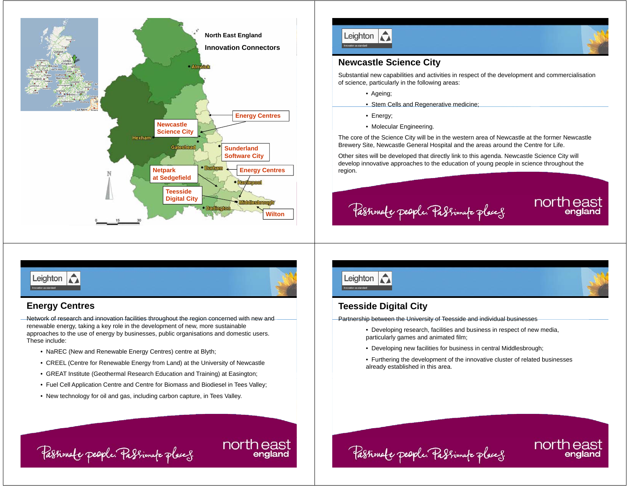





Substantial new capabilities and activities in respect of the development and commercialisation of science, particularly in the following areas:

- Ageing;
- Stem Cells and Regenerative medicine;
- Energy;
- Molecular Engineering.

The core of the Science City will be in the western area of Newcastle at the former Newcastle Brewery Site, Newcastle General Hospital and the areas around the Centre for Life.

Other sites will be developed that directly link to this agenda. Newcastle Science City will develop innovative approaches to the education of young people in science throughout the region.

Passionale people. Passionate places.

north east england

north east

england



# **Energy Centres**

Network of research and innovation facilities throughout the region concerned with new and renewable energy, taking a key role in the development of new, more sustainable approaches to the use of energy by businesses, public organisations and domestic users. These include:

• NaREC (New and Renewable Energy Centres) centre at Blyth;

Passionale people. Passionate places.

- CREEL (Centre for Renewable Energy from Land) at the University of Newcastle
- GREAT Institute (Geothermal Research Education and Training) at Easington;
- Fuel Cell Application Centre and Centre for Biomass and Biodiesel in Tees Valley;

north east

enaland

• New technology for oil and gas, including carbon capture, in Tees Valley.



# **Teesside Digital City**

Partnership between the University of Teesside and individual businesses

Passionale people. Passionate places.

- Developing research, facilities and business in respect of new media, particularly games and animated film;
- Developing new facilities for business in central Middlesbrough;
- Furthering the development of the innovative cluster of related businesses already established in this area.